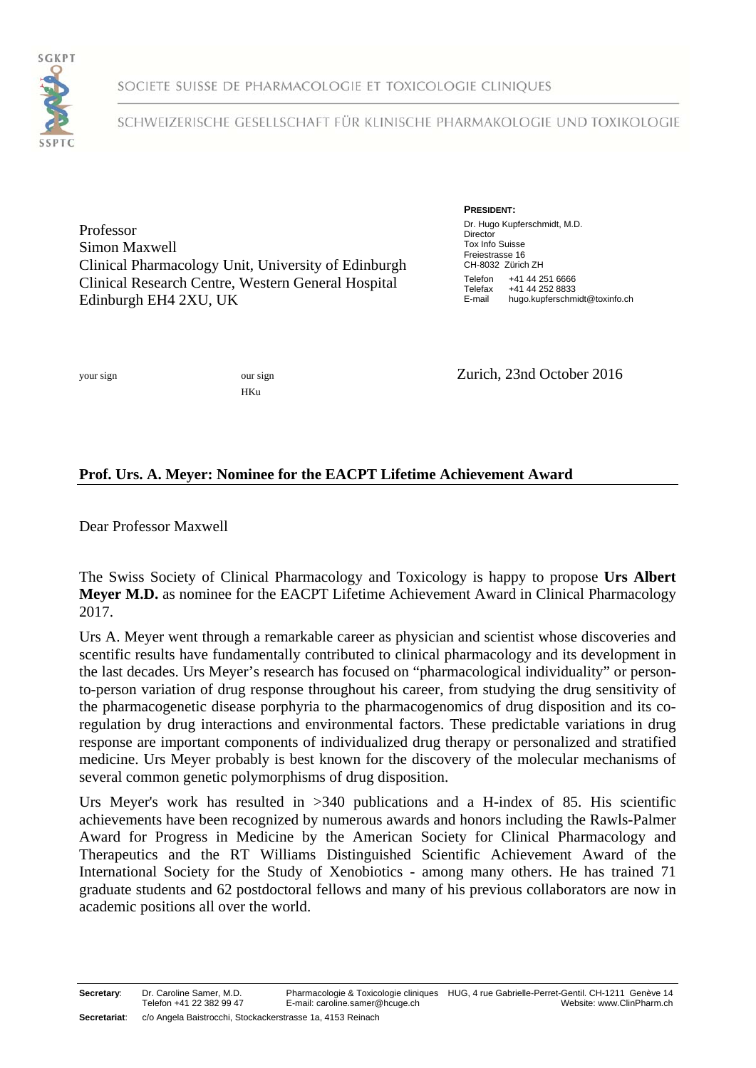

SOCIETE SUISSE DE PHARMACOLOGIE ET TOXICOLOGIE CLINIQUES

## SCHWEIZERISCHE GESELLSCHAFT FÜR KLINISCHE PHARMAKOLOGIE UND TOXIKOLOGIE

Professor Simon Maxwell Clinical Pharmacology Unit, University of Edinburgh Clinical Research Centre, Western General Hospital Edinburgh EH4 2XU, UK

**PRESIDENT:** Dr. Hugo Kupferschmidt, M.D. **Director** Tox Info Suisse Freiestrasse 16 CH-8032 Zürich ZH Telefon +41 44 251 6666<br>Telefax +41 44 252 8833 Telefax +41 44 252 8833<br>E-mail hugo kupferschm hugo.kupferschmidt@toxinfo.ch

HKu

your sign our sign our sign **Zurich**, 23nd October 2016

## **Prof. Urs. A. Meyer: Nominee for the EACPT Lifetime Achievement Award**

Dear Professor Maxwell

The Swiss Society of Clinical Pharmacology and Toxicology is happy to propose **Urs Albert Meyer M.D.** as nominee for the EACPT Lifetime Achievement Award in Clinical Pharmacology 2017.

Urs A. Meyer went through a remarkable career as physician and scientist whose discoveries and scentific results have fundamentally contributed to clinical pharmacology and its development in the last decades. Urs Meyer's research has focused on "pharmacological individuality" or personto-person variation of drug response throughout his career, from studying the drug sensitivity of the pharmacogenetic disease porphyria to the pharmacogenomics of drug disposition and its coregulation by drug interactions and environmental factors. These predictable variations in drug response are important components of individualized drug therapy or personalized and stratified medicine. Urs Meyer probably is best known for the discovery of the molecular mechanisms of several common genetic polymorphisms of drug disposition.

Urs Meyer's work has resulted in >340 publications and a H-index of 85. His scientific achievements have been recognized by numerous awards and honors including the Rawls-Palmer Award for Progress in Medicine by the American Society for Clinical Pharmacology and Therapeutics and the RT Williams Distinguished Scientific Achievement Award of the International Society for the Study of Xenobiotics - among many others. He has trained 71 graduate students and 62 postdoctoral fellows and many of his previous collaborators are now in academic positions all over the world.